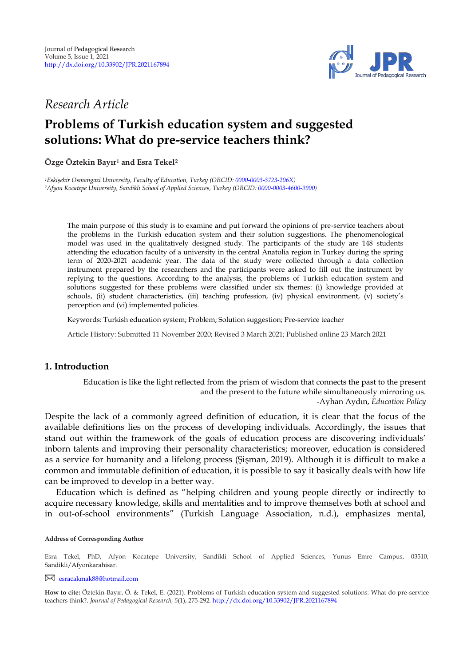

# *Research Article*

# **Problems of Turkish education system and suggested solutions: What do pre-service teachers think?**

**Özge Öztekin Bayır<sup>1</sup> and Esra Tekel 2 1**

*<sup>1</sup>Eskişehir Osmangazi University, Faculty of Education, Turkey (ORCID[: 0000-0003-3723-206X\)](https://orcid.org/0000-0003-3723-206X) <sup>2</sup>Afyon Kocatepe University, Sandikli School of Applied Sciences, Turkey (ORCID[: 0000-0003-4600-9900\)](https://orcid.org/0000-0003-4600-9900)*

The main purpose of this study is to examine and put forward the opinions of pre-service teachers about the problems in the Turkish education system and their solution suggestions. The phenomenological model was used in the qualitatively designed study. The participants of the study are 148 students attending the education faculty of a university in the central Anatolia region in Turkey during the spring term of 2020-2021 academic year. The data of the study were collected through a data collection instrument prepared by the researchers and the participants were asked to fill out the instrument by replying to the questions. According to the analysis, the problems of Turkish education system and solutions suggested for these problems were classified under six themes: (i) knowledge provided at schools, (ii) student characteristics, (iii) teaching profession, (iv) physical environment, (v) society"s perception and (vi) implemented policies.

Keywords: Turkish education system; Problem; Solution suggestion; Pre-service teacher

Article History: Submitted 11 November 2020; Revised 3 March 2021; Published online 23 March 2021

# **1. Introduction**

Education is like the light reflected from the prism of wisdom that connects the past to the present and the present to the future while simultaneously mirroring us. -Ayhan Aydın, *Education Policy*

Despite the lack of a commonly agreed definition of education, it is clear that the focus of the available definitions lies on the process of developing individuals. Accordingly, the issues that stand out within the framework of the goals of education process are discovering individuals" inborn talents and improving their personality characteristics; moreover, education is considered as a service for humanity and a lifelong process (Şişman, 2019). Although it is difficult to make a common and immutable definition of education, it is possible to say it basically deals with how life can be improved to develop in a better way.

Education which is defined as "helping children and young people directly or indirectly to acquire necessary knowledge, skills and mentalities and to improve themselves both at school and in out-of-school environments" (Turkish Language Association, n.d.), emphasizes mental,

**Address of Corresponding Author**

Esra Tekel, PhD, Afyon Kocatepe University, Sandikli School of Applied Sciences, Yunus Emre Campus, 03510, Sandikli/Afyonkarahisar.

[esracakmak88@hotmail.com](mailto:esracakmak88@hotmail.com)

**How to cite:** Öztekin-Bayır, Ö. & Tekel, E. (2021). Problems of Turkish education system and suggested solutions: What do pre-service teachers think?. *Journal of Pedagogical Research, 5*(1), 275-292. <http://dx.doi.org/10.33902/JPR.2021167894>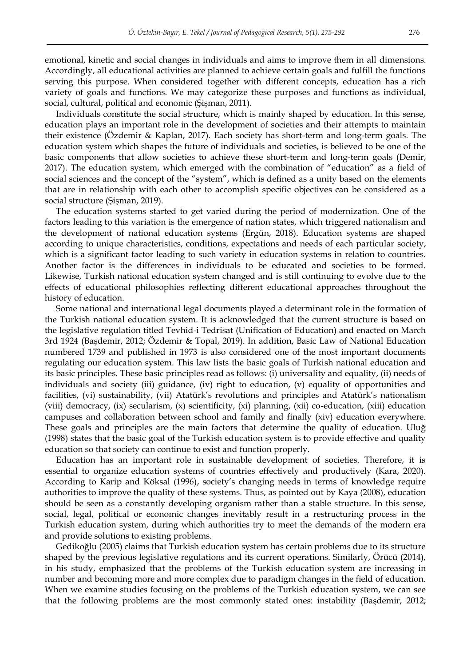emotional, kinetic and social changes in individuals and aims to improve them in all dimensions. Accordingly, all educational activities are planned to achieve certain goals and fulfill the functions serving this purpose. When considered together with different concepts, education has a rich variety of goals and functions. We may categorize these purposes and functions as individual, social, cultural, political and economic (Şişman, 2011).

Individuals constitute the social structure, which is mainly shaped by education. In this sense, education plays an important role in the development of societies and their attempts to maintain their existence (Özdemir & Kaplan, 2017). Each society has short-term and long-term goals. The education system which shapes the future of individuals and societies, is believed to be one of the basic components that allow societies to achieve these short-term and long-term goals (Demir, 2017). The education system, which emerged with the combination of "education" as a field of social sciences and the concept of the "system", which is defined as a unity based on the elements that are in relationship with each other to accomplish specific objectives can be considered as a social structure (Şişman, 2019).

The education systems started to get varied during the period of modernization. One of the factors leading to this variation is the emergence of nation states, which triggered nationalism and the development of national education systems (Ergün, 2018). Education systems are shaped according to unique characteristics, conditions, expectations and needs of each particular society, which is a significant factor leading to such variety in education systems in relation to countries. Another factor is the differences in individuals to be educated and societies to be formed. Likewise, Turkish national education system changed and is still continuing to evolve due to the effects of educational philosophies reflecting different educational approaches throughout the history of education.

Some national and international legal documents played a determinant role in the formation of the Turkish national education system. It is acknowledged that the current structure is based on the legislative regulation titled Tevhid-i Tedrisat (Unification of Education) and enacted on March 3rd 1924 (Başdemir, 2012; Özdemir & Topal, 2019). In addition, Basic Law of National Education numbered 1739 and published in 1973 is also considered one of the most important documents regulating our education system. This law lists the basic goals of Turkish national education and its basic principles. These basic principles read as follows: (i) universality and equality, (ii) needs of individuals and society (iii) guidance, (iv) right to education, (v) equality of opportunities and facilities, (vi) sustainability, (vii) Atatürk's revolutions and principles and Atatürk's nationalism (viii) democracy, (ix) secularism, (x) scientificity, (xi) planning, (xii) co-education, (xiii) education campuses and collaboration between school and family and finally (xiv) education everywhere. These goals and principles are the main factors that determine the quality of education. Uluğ (1998) states that the basic goal of the Turkish education system is to provide effective and quality education so that society can continue to exist and function properly.

Education has an important role in sustainable development of societies. Therefore, it is essential to organize education systems of countries effectively and productively (Kara, 2020). According to Karip and Köksal (1996), society's changing needs in terms of knowledge require authorities to improve the quality of these systems. Thus, as pointed out by Kaya (2008), education should be seen as a constantly developing organism rather than a stable structure. In this sense, social, legal, political or economic changes inevitably result in a restructuring process in the Turkish education system, during which authorities try to meet the demands of the modern era and provide solutions to existing problems.

Gedikoğlu (2005) claims that Turkish education system has certain problems due to its structure shaped by the previous legislative regulations and its current operations. Similarly, Örücü (2014), in his study, emphasized that the problems of the Turkish education system are increasing in number and becoming more and more complex due to paradigm changes in the field of education. When we examine studies focusing on the problems of the Turkish education system, we can see that the following problems are the most commonly stated ones: instability (Başdemir, 2012;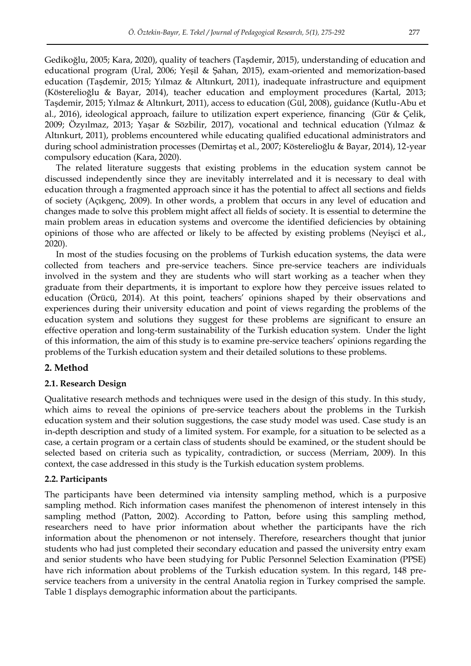Gedikoğlu, 2005; Kara, 2020), quality of teachers (Taşdemir, 2015), understanding of education and educational program (Ural, 2006; Yeşil & Şahan, 2015), exam-oriented and memorization-based education (Taşdemir, 2015; Yılmaz & Altınkurt, 2011), inadequate infrastructure and equipment (Kösterelioğlu & Bayar, 2014), teacher education and employment procedures (Kartal, 2013; Taşdemir, 2015; Yılmaz & Altınkurt, 2011), access to education (Gül, 2008), guidance (Kutlu-Abu et al., 2016), ideological approach, failure to utilization expert experience, financing (Gür & Çelik, 2009; Özyılmaz, 2013; Yaşar & Sözbilir, 2017), vocational and technical education (Yılmaz & Altınkurt, 2011), problems encountered while educating qualified educational administrators and during school administration processes (Demirtaş et al., 2007; Kösterelioğlu & Bayar, 2014), 12-year compulsory education (Kara, 2020).

The related literature suggests that existing problems in the education system cannot be discussed independently since they are inevitably interrelated and it is necessary to deal with education through a fragmented approach since it has the potential to affect all sections and fields of society (Açıkgenç, 2009). In other words, a problem that occurs in any level of education and changes made to solve this problem might affect all fields of society. It is essential to determine the main problem areas in education systems and overcome the identified deficiencies by obtaining opinions of those who are affected or likely to be affected by existing problems (Neyişci et al., 2020).

In most of the studies focusing on the problems of Turkish education systems, the data were collected from teachers and pre-service teachers. Since pre-service teachers are individuals involved in the system and they are students who will start working as a teacher when they graduate from their departments, it is important to explore how they perceive issues related to education (Örücü, 2014). At this point, teachers' opinions shaped by their observations and experiences during their university education and point of views regarding the problems of the education system and solutions they suggest for these problems are significant to ensure an effective operation and long-term sustainability of the Turkish education system. Under the light of this information, the aim of this study is to examine pre-service teachers" opinions regarding the problems of the Turkish education system and their detailed solutions to these problems.

#### **2. Method**

#### **2.1. Research Design**

Qualitative research methods and techniques were used in the design of this study. In this study, which aims to reveal the opinions of pre-service teachers about the problems in the Turkish education system and their solution suggestions, the case study model was used. Case study is an in-depth description and study of a limited system. For example, for a situation to be selected as a case, a certain program or a certain class of students should be examined, or the student should be selected based on criteria such as typicality, contradiction, or success (Merriam, 2009). In this context, the case addressed in this study is the Turkish education system problems.

#### **2.2. Participants**

The participants have been determined via intensity sampling method, which is a purposive sampling method. Rich information cases manifest the phenomenon of interest intensely in this sampling method (Patton, 2002). According to Patton, before using this sampling method, researchers need to have prior information about whether the participants have the rich information about the phenomenon or not intensely. Therefore, researchers thought that junior students who had just completed their secondary education and passed the university entry exam and senior students who have been studying for Public Personnel Selection Examination (PPSE) have rich information about problems of the Turkish education system. In this regard, 148 preservice teachers from a university in the central Anatolia region in Turkey comprised the sample. Table 1 displays demographic information about the participants.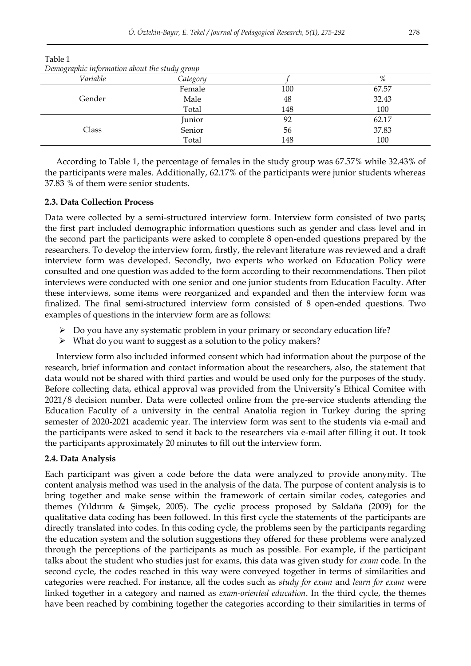| Demographic information about the study group |          |     |       |
|-----------------------------------------------|----------|-----|-------|
| Variable                                      | Category |     | %     |
|                                               | Female   | 100 | 67.57 |
| Gender                                        | Male     | 48  | 32.43 |
|                                               | Total    | 148 | 100   |
|                                               | Junior   | 92  | 62.17 |
| Class                                         | Senior   | 56  | 37.83 |
|                                               | Total    | 148 | 100   |

Table 1 *Demographic information about the study group* 

According to Table 1, the percentage of females in the study group was 67.57% while 32.43% of the participants were males. Additionally, 62.17% of the participants were junior students whereas 37.83 % of them were senior students.

#### **2.3. Data Collection Process**

Data were collected by a semi-structured interview form. Interview form consisted of two parts; the first part included demographic information questions such as gender and class level and in the second part the participants were asked to complete 8 open-ended questions prepared by the researchers. To develop the interview form, firstly, the relevant literature was reviewed and a draft interview form was developed. Secondly, two experts who worked on Education Policy were consulted and one question was added to the form according to their recommendations. Then pilot interviews were conducted with one senior and one junior students from Education Faculty. After these interviews, some items were reorganized and expanded and then the interview form was finalized. The final semi-structured interview form consisted of 8 open-ended questions. Two examples of questions in the interview form are as follows:

- Do you have any systematic problem in your primary or secondary education life?
- What do you want to suggest as a solution to the policy makers?

Interview form also included informed consent which had information about the purpose of the research, brief information and contact information about the researchers, also, the statement that data would not be shared with third parties and would be used only for the purposes of the study. Before collecting data, ethical approval was provided from the University"s Ethical Comitee with 2021/8 decision number. Data were collected online from the pre-service students attending the Education Faculty of a university in the central Anatolia region in Turkey during the spring semester of 2020-2021 academic year. The interview form was sent to the students via e-mail and the participants were asked to send it back to the researchers via e-mail after filling it out. It took the participants approximately 20 minutes to fill out the interview form.

### **2.4. Data Analysis**

Each participant was given a code before the data were analyzed to provide anonymity. The content analysis method was used in the analysis of the data. The purpose of content analysis is to bring together and make sense within the framework of certain similar codes, categories and themes (Yıldırım & Şimşek, 2005). The cyclic process proposed by Saldaña (2009) for the qualitative data coding has been followed. In this first cycle the statements of the participants are directly translated into codes. In this coding cycle, the problems seen by the participants regarding the education system and the solution suggestions they offered for these problems were analyzed through the perceptions of the participants as much as possible. For example, if the participant talks about the student who studies just for exams, this data was given study for *exam* code. In the second cycle, the codes reached in this way were conveyed together in terms of similarities and categories were reached. For instance, all the codes such as *study for exam* and *learn for exam* were linked together in a category and named as *exam-oriented education*. In the third cycle, the themes have been reached by combining together the categories according to their similarities in terms of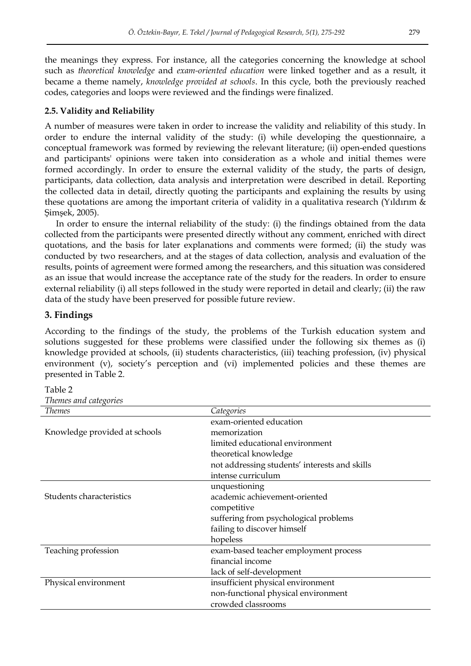the meanings they express. For instance, all the categories concerning the knowledge at school such as *theoretical knowledge* and *exam-oriented education* were linked together and as a result, it became a theme namely, *knowledge provided at schools*. In this cycle, both the previously reached codes, categories and loops were reviewed and the findings were finalized.

#### **2.5. Validity and Reliability**

A number of measures were taken in order to increase the validity and reliability of this study. In order to endure the internal validity of the study: (i) while developing the questionnaire, a conceptual framework was formed by reviewing the relevant literature; (ii) open-ended questions and participants' opinions were taken into consideration as a whole and initial themes were formed accordingly. In order to ensure the external validity of the study, the parts of design, participants, data collection, data analysis and interpretation were described in detail. Reporting the collected data in detail, directly quoting the participants and explaining the results by using these quotations are among the important criteria of validity in a qualitativa research (Yıldırım & Şimşek, 2005).

In order to ensure the internal reliability of the study: (i) the findings obtained from the data collected from the participants were presented directly without any comment, enriched with direct quotations, and the basis for later explanations and comments were formed; (ii) the study was conducted by two researchers, and at the stages of data collection, analysis and evaluation of the results, points of agreement were formed among the researchers, and this situation was considered as an issue that would increase the acceptance rate of the study for the readers. In order to ensure external reliability (i) all steps followed in the study were reported in detail and clearly; (ii) the raw data of the study have been preserved for possible future review.

#### **3. Findings**

According to the findings of the study, the problems of the Turkish education system and solutions suggested for these problems were classified under the following six themes as (i) knowledge provided at schools, (ii) students characteristics, (iii) teaching profession, (iv) physical environment (v), society"s perception and (vi) implemented policies and these themes are presented in Table 2.

| Table 2               |
|-----------------------|
| Themes and categories |

| <b>Themes</b>                 | Categories                                    |
|-------------------------------|-----------------------------------------------|
|                               | exam-oriented education                       |
| Knowledge provided at schools | memorization                                  |
|                               | limited educational environment               |
|                               | theoretical knowledge                         |
|                               | not addressing students' interests and skills |
|                               | intense curriculum                            |
|                               | unquestioning                                 |
| Students characteristics      | academic achievement-oriented                 |
|                               | competitive                                   |
|                               | suffering from psychological problems         |
|                               | failing to discover himself                   |
|                               | hopeless                                      |
| Teaching profession           | exam-based teacher employment process         |
|                               | financial income                              |
|                               | lack of self-development                      |
| Physical environment          | insufficient physical environment             |
|                               | non-functional physical environment           |
|                               | crowded classrooms                            |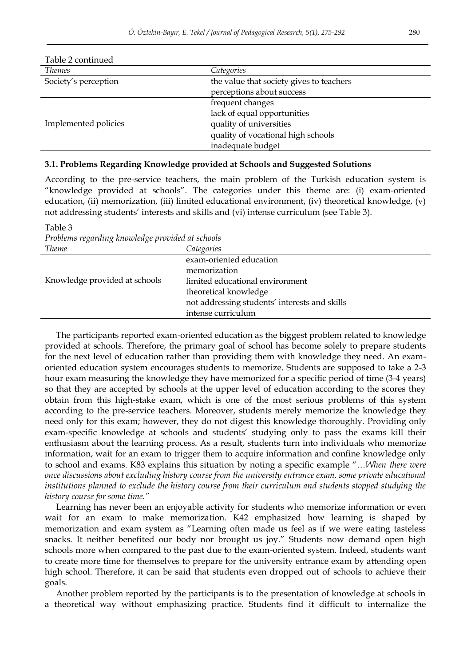| Table 2 continued    |                                          |
|----------------------|------------------------------------------|
| <b>Themes</b>        | Categories                               |
| Society's perception | the value that society gives to teachers |
|                      | perceptions about success                |
|                      | frequent changes                         |
|                      | lack of equal opportunities              |
| Implemented policies | quality of universities                  |
|                      | quality of vocational high schools       |
|                      | inadequate budget                        |

#### **3.1. Problems Regarding Knowledge provided at Schools and Suggested Solutions**

According to the pre-service teachers, the main problem of the Turkish education system is "knowledge provided at schools". The categories under this theme are: (i) exam-oriented education, (ii) memorization, (iii) limited educational environment, (iv) theoretical knowledge, (v) not addressing students" interests and skills and (vi) intense curriculum (see Table 3).

Table 3 *Problems regarding knowledge provided at schools* 

| <b>Theme</b>                  | Categories                                    |
|-------------------------------|-----------------------------------------------|
|                               | exam-oriented education                       |
|                               | memorization                                  |
| Knowledge provided at schools | limited educational environment               |
|                               | theoretical knowledge                         |
|                               | not addressing students' interests and skills |
|                               | intense curriculum                            |

The participants reported exam-oriented education as the biggest problem related to knowledge provided at schools. Therefore, the primary goal of school has become solely to prepare students for the next level of education rather than providing them with knowledge they need. An examoriented education system encourages students to memorize. Students are supposed to take a 2-3 hour exam measuring the knowledge they have memorized for a specific period of time (3-4 years) so that they are accepted by schools at the upper level of education according to the scores they obtain from this high-stake exam, which is one of the most serious problems of this system according to the pre-service teachers. Moreover, students merely memorize the knowledge they need only for this exam; however, they do not digest this knowledge thoroughly. Providing only exam-specific knowledge at schools and students" studying only to pass the exams kill their enthusiasm about the learning process. As a result, students turn into individuals who memorize information, wait for an exam to trigger them to acquire information and confine knowledge only to school and exams. K83 explains this situation by noting a specific example "…*When there were once discussions about excluding history course from the university entrance exam, some private educational institutions planned to exclude the history course from their curriculum and students stopped studying the history course for some time."* 

Learning has never been an enjoyable activity for students who memorize information or even wait for an exam to make memorization. K42 emphasized how learning is shaped by memorization and exam system as "Learning often made us feel as if we were eating tasteless snacks. It neither benefited our body nor brought us joy." Students now demand open high schools more when compared to the past due to the exam-oriented system. Indeed, students want to create more time for themselves to prepare for the university entrance exam by attending open high school. Therefore, it can be said that students even dropped out of schools to achieve their goals.

Another problem reported by the participants is to the presentation of knowledge at schools in a theoretical way without emphasizing practice. Students find it difficult to internalize the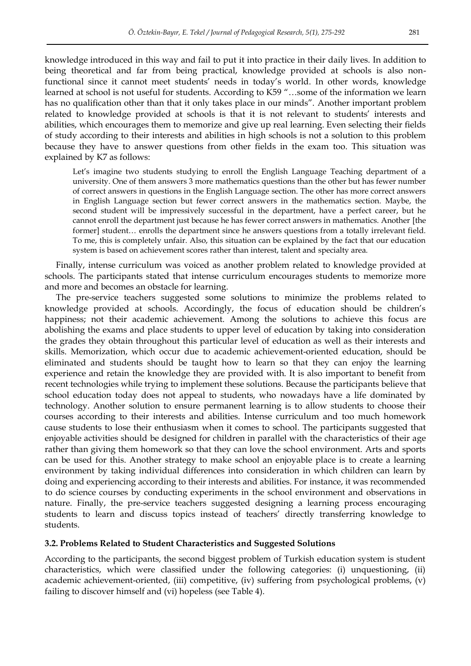knowledge introduced in this way and fail to put it into practice in their daily lives. In addition to being theoretical and far from being practical, knowledge provided at schools is also nonfunctional since it cannot meet students' needs in today's world. In other words, knowledge learned at school is not useful for students. According to K59 "…some of the information we learn has no qualification other than that it only takes place in our minds". Another important problem related to knowledge provided at schools is that it is not relevant to students" interests and abilities, which encourages them to memorize and give up real learning. Even selecting their fields of study according to their interests and abilities in high schools is not a solution to this problem because they have to answer questions from other fields in the exam too. This situation was explained by K7 as follows:

Let's imagine two students studying to enroll the English Language Teaching department of a university. One of them answers 3 more mathematics questions than the other but has fewer number of correct answers in questions in the English Language section. The other has more correct answers in English Language section but fewer correct answers in the mathematics section. Maybe, the second student will be impressively successful in the department, have a perfect career, but he cannot enroll the department just because he has fewer correct answers in mathematics. Another [the former] student... enrolls the department since he answers questions from a totally irrelevant field. To me, this is completely unfair. Also, this situation can be explained by the fact that our education system is based on achievement scores rather than interest, talent and specialty area.

Finally, intense curriculum was voiced as another problem related to knowledge provided at schools. The participants stated that intense curriculum encourages students to memorize more and more and becomes an obstacle for learning.

The pre-service teachers suggested some solutions to minimize the problems related to knowledge provided at schools. Accordingly, the focus of education should be children"s happiness; not their academic achievement. Among the solutions to achieve this focus are abolishing the exams and place students to upper level of education by taking into consideration the grades they obtain throughout this particular level of education as well as their interests and skills. Memorization, which occur due to academic achievement-oriented education, should be eliminated and students should be taught how to learn so that they can enjoy the learning experience and retain the knowledge they are provided with. It is also important to benefit from recent technologies while trying to implement these solutions. Because the participants believe that school education today does not appeal to students, who nowadays have a life dominated by technology. Another solution to ensure permanent learning is to allow students to choose their courses according to their interests and abilities. Intense curriculum and too much homework cause students to lose their enthusiasm when it comes to school. The participants suggested that enjoyable activities should be designed for children in parallel with the characteristics of their age rather than giving them homework so that they can love the school environment. Arts and sports can be used for this. Another strategy to make school an enjoyable place is to create a learning environment by taking individual differences into consideration in which children can learn by doing and experiencing according to their interests and abilities. For instance, it was recommended to do science courses by conducting experiments in the school environment and observations in nature. Finally, the pre-service teachers suggested designing a learning process encouraging students to learn and discuss topics instead of teachers' directly transferring knowledge to students.

#### **3.2. Problems Related to Student Characteristics and Suggested Solutions**

According to the participants, the second biggest problem of Turkish education system is student characteristics, which were classified under the following categories: (i) unquestioning, (ii) academic achievement-oriented, (iii) competitive, (iv) suffering from psychological problems, (v) failing to discover himself and (vi) hopeless (see Table 4).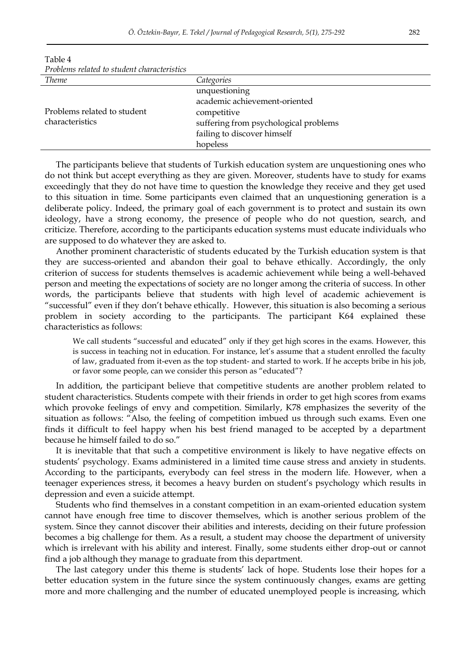| T TOURTHS TEMPER TO STRUCHT CHATHER ISTICS |                                       |
|--------------------------------------------|---------------------------------------|
| <b>Theme</b>                               | Categories                            |
|                                            | unquestioning                         |
|                                            | academic achievement-oriented         |
| Problems related to student                | competitive                           |
| characteristics                            | suffering from psychological problems |
|                                            | failing to discover himself           |
|                                            | hopeless                              |

Table 4 *Problems related to student characteristics* 

The participants believe that students of Turkish education system are unquestioning ones who do not think but accept everything as they are given. Moreover, students have to study for exams exceedingly that they do not have time to question the knowledge they receive and they get used to this situation in time. Some participants even claimed that an unquestioning generation is a deliberate policy. Indeed, the primary goal of each government is to protect and sustain its own ideology, have a strong economy, the presence of people who do not question, search, and criticize. Therefore, according to the participants education systems must educate individuals who are supposed to do whatever they are asked to.

Another prominent characteristic of students educated by the Turkish education system is that they are success-oriented and abandon their goal to behave ethically. Accordingly, the only criterion of success for students themselves is academic achievement while being a well-behaved person and meeting the expectations of society are no longer among the criteria of success. In other words, the participants believe that students with high level of academic achievement is "successful" even if they don't behave ethically. However, this situation is also becoming a serious problem in society according to the participants. The participant K64 explained these characteristics as follows:

We call students "successful and educated" only if they get high scores in the exams. However, this is success in teaching not in education. For instance, let's assume that a student enrolled the faculty of law, graduated from it-even as the top student- and started to work. If he accepts bribe in his job, or favor some people, can we consider this person as "educated"?

In addition, the participant believe that competitive students are another problem related to student characteristics. Students compete with their friends in order to get high scores from exams which provoke feelings of envy and competition. Similarly, K78 emphasizes the severity of the situation as follows: "Also, the feeling of competition imbued us through such exams. Even one finds it difficult to feel happy when his best friend managed to be accepted by a department because he himself failed to do so."

It is inevitable that that such a competitive environment is likely to have negative effects on students' psychology. Exams administered in a limited time cause stress and anxiety in students. According to the participants, everybody can feel stress in the modern life. However, when a teenager experiences stress, it becomes a heavy burden on student"s psychology which results in depression and even a suicide attempt.

Students who find themselves in a constant competition in an exam-oriented education system cannot have enough free time to discover themselves, which is another serious problem of the system. Since they cannot discover their abilities and interests, deciding on their future profession becomes a big challenge for them. As a result, a student may choose the department of university which is irrelevant with his ability and interest. Finally, some students either drop-out or cannot find a job although they manage to graduate from this department.

The last category under this theme is students" lack of hope. Students lose their hopes for a better education system in the future since the system continuously changes, exams are getting more and more challenging and the number of educated unemployed people is increasing, which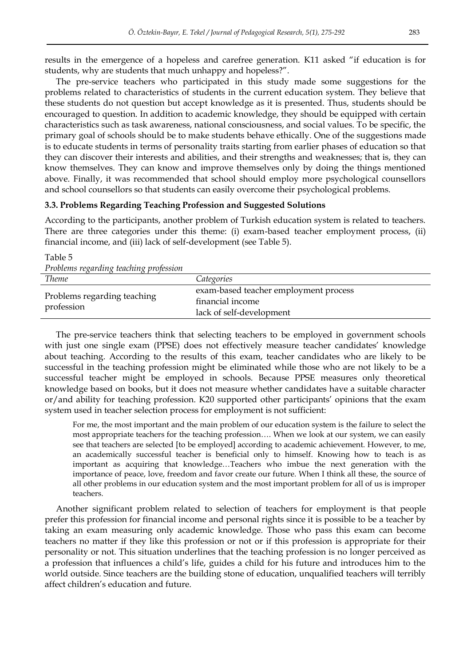results in the emergence of a hopeless and carefree generation. K11 asked "if education is for students, why are students that much unhappy and hopeless?".

The pre-service teachers who participated in this study made some suggestions for the problems related to characteristics of students in the current education system. They believe that these students do not question but accept knowledge as it is presented. Thus, students should be encouraged to question. In addition to academic knowledge, they should be equipped with certain characteristics such as task awareness, national consciousness, and social values. To be specific, the primary goal of schools should be to make students behave ethically. One of the suggestions made is to educate students in terms of personality traits starting from earlier phases of education so that they can discover their interests and abilities, and their strengths and weaknesses; that is, they can know themselves. They can know and improve themselves only by doing the things mentioned above. Finally, it was recommended that school should employ more psychological counsellors and school counsellors so that students can easily overcome their psychological problems.

#### **3.3. Problems Regarding Teaching Profession and Suggested Solutions**

According to the participants, another problem of Turkish education system is related to teachers. There are three categories under this theme: (i) exam-based teacher employment process, (ii) financial income, and (iii) lack of self-development (see Table 5).

| Problems regarding teaching profession    |                                       |
|-------------------------------------------|---------------------------------------|
| <b>Theme</b>                              | Categories                            |
|                                           | exam-based teacher employment process |
| Problems regarding teaching<br>profession | financial income                      |
|                                           | lack of self-development              |

Table 5

The pre-service teachers think that selecting teachers to be employed in government schools with just one single exam (PPSE) does not effectively measure teacher candidates' knowledge about teaching. According to the results of this exam, teacher candidates who are likely to be successful in the teaching profession might be eliminated while those who are not likely to be a successful teacher might be employed in schools. Because PPSE measures only theoretical knowledge based on books, but it does not measure whether candidates have a suitable character or/and ability for teaching profession. K20 supported other participants" opinions that the exam system used in teacher selection process for employment is not sufficient:

For me, the most important and the main problem of our education system is the failure to select the most appropriate teachers for the teaching profession…. When we look at our system, we can easily see that teachers are selected [to be employed] according to academic achievement. However, to me, an academically successful teacher is beneficial only to himself. Knowing how to teach is as important as acquiring that knowledge…Teachers who imbue the next generation with the importance of peace, love, freedom and favor create our future. When I think all these, the source of all other problems in our education system and the most important problem for all of us is improper teachers.

Another significant problem related to selection of teachers for employment is that people prefer this profession for financial income and personal rights since it is possible to be a teacher by taking an exam measuring only academic knowledge. Those who pass this exam can become teachers no matter if they like this profession or not or if this profession is appropriate for their personality or not. This situation underlines that the teaching profession is no longer perceived as a profession that influences a child"s life, guides a child for his future and introduces him to the world outside. Since teachers are the building stone of education, unqualified teachers will terribly affect children"s education and future.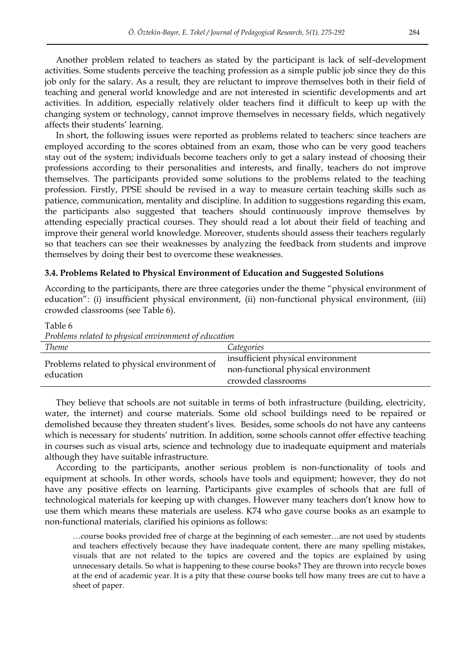Another problem related to teachers as stated by the participant is lack of self-development activities. Some students perceive the teaching profession as a simple public job since they do this job only for the salary. As a result, they are reluctant to improve themselves both in their field of teaching and general world knowledge and are not interested in scientific developments and art activities. In addition, especially relatively older teachers find it difficult to keep up with the changing system or technology, cannot improve themselves in necessary fields, which negatively affects their students' learning.

In short, the following issues were reported as problems related to teachers: since teachers are employed according to the scores obtained from an exam, those who can be very good teachers stay out of the system; individuals become teachers only to get a salary instead of choosing their professions according to their personalities and interests, and finally, teachers do not improve themselves. The participants provided some solutions to the problems related to the teaching profession. Firstly, PPSE should be revised in a way to measure certain teaching skills such as patience, communication, mentality and discipline. In addition to suggestions regarding this exam, the participants also suggested that teachers should continuously improve themselves by attending especially practical courses. They should read a lot about their field of teaching and improve their general world knowledge. Moreover, students should assess their teachers regularly so that teachers can see their weaknesses by analyzing the feedback from students and improve themselves by doing their best to overcome these weaknesses.

#### **3.4. Problems Related to Physical Environment of Education and Suggested Solutions**

According to the participants, there are three categories under the theme "physical environment of education": (i) insufficient physical environment, (ii) non-functional physical environment, (iii) crowded classrooms (see Table 6).

Table 6

*Problems related to physical environment of education* 

| <b>Theme</b>                                | Categories                          |
|---------------------------------------------|-------------------------------------|
| Problems related to physical environment of | insufficient physical environment   |
| education                                   | non-functional physical environment |
|                                             | crowded classrooms                  |

They believe that schools are not suitable in terms of both infrastructure (building, electricity, water, the internet) and course materials. Some old school buildings need to be repaired or demolished because they threaten student"s lives. Besides, some schools do not have any canteens which is necessary for students' nutrition. In addition, some schools cannot offer effective teaching in courses such as visual arts, science and technology due to inadequate equipment and materials although they have suitable infrastructure.

According to the participants, another serious problem is non-functionality of tools and equipment at schools. In other words, schools have tools and equipment; however, they do not have any positive effects on learning. Participants give examples of schools that are full of technological materials for keeping up with changes. However many teachers don"t know how to use them which means these materials are useless. K74 who gave course books as an example to non-functional materials, clarified his opinions as follows:

…course books provided free of charge at the beginning of each semester…are not used by students and teachers effectively because they have inadequate content, there are many spelling mistakes, visuals that are not related to the topics are covered and the topics are explained by using unnecessary details. So what is happening to these course books? They are thrown into recycle boxes at the end of academic year. It is a pity that these course books tell how many trees are cut to have a sheet of paper.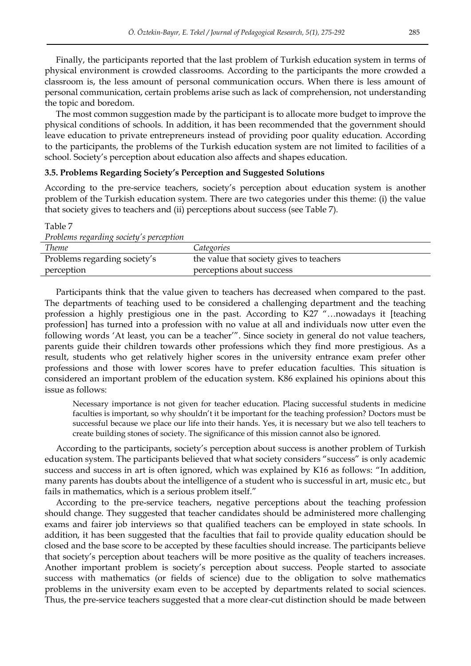Finally, the participants reported that the last problem of Turkish education system in terms of physical environment is crowded classrooms. According to the participants the more crowded a classroom is, the less amount of personal communication occurs. When there is less amount of personal communication, certain problems arise such as lack of comprehension, not understanding the topic and boredom.

The most common suggestion made by the participant is to allocate more budget to improve the physical conditions of schools. In addition, it has been recommended that the government should leave education to private entrepreneurs instead of providing poor quality education. According to the participants, the problems of the Turkish education system are not limited to facilities of a school. Society"s perception about education also affects and shapes education.

#### **3.5. Problems Regarding Society's Perception and Suggested Solutions**

According to the pre-service teachers, society"s perception about education system is another problem of the Turkish education system. There are two categories under this theme: (i) the value that society gives to teachers and (ii) perceptions about success (see Table 7).

Table 7

| Problems regarding society's perception |                                          |
|-----------------------------------------|------------------------------------------|
| <b>Theme</b>                            | Categories                               |
| Problems regarding society's            | the value that society gives to teachers |
| perception                              | perceptions about success                |
|                                         |                                          |

Participants think that the value given to teachers has decreased when compared to the past. The departments of teaching used to be considered a challenging department and the teaching profession a highly prestigious one in the past. According to K27 "…nowadays it [teaching profession] has turned into a profession with no value at all and individuals now utter even the following words "At least, you can be a teacher"". Since society in general do not value teachers, parents guide their children towards other professions which they find more prestigious. As a result, students who get relatively higher scores in the university entrance exam prefer other professions and those with lower scores have to prefer education faculties. This situation is considered an important problem of the education system. K86 explained his opinions about this issue as follows:

Necessary importance is not given for teacher education. Placing successful students in medicine faculties is important, so why shouldn't it be important for the teaching profession? Doctors must be successful because we place our life into their hands. Yes, it is necessary but we also tell teachers to create building stones of society. The significance of this mission cannot also be ignored.

According to the participants, society"s perception about success is another problem of Turkish education system. The participants believed that what society considers "success" is only academic success and success in art is often ignored, which was explained by K16 as follows: "In addition, many parents has doubts about the intelligence of a student who is successful in art, music etc., but fails in mathematics, which is a serious problem itself."

According to the pre-service teachers, negative perceptions about the teaching profession should change. They suggested that teacher candidates should be administered more challenging exams and fairer job interviews so that qualified teachers can be employed in state schools. In addition, it has been suggested that the faculties that fail to provide quality education should be closed and the base score to be accepted by these faculties should increase. The participants believe that society"s perception about teachers will be more positive as the quality of teachers increases. Another important problem is society"s perception about success. People started to associate success with mathematics (or fields of science) due to the obligation to solve mathematics problems in the university exam even to be accepted by departments related to social sciences. Thus, the pre-service teachers suggested that a more clear-cut distinction should be made between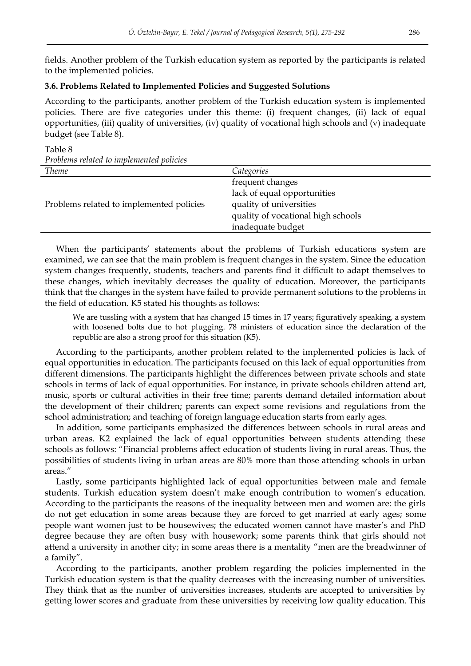fields. Another problem of the Turkish education system as reported by the participants is related to the implemented policies.

## **3.6. Problems Related to Implemented Policies and Suggested Solutions**

Table 8

According to the participants, another problem of the Turkish education system is implemented policies. There are five categories under this theme: (i) frequent changes, (ii) lack of equal opportunities, (iii) quality of universities, (iv) quality of vocational high schools and (v) inadequate budget (see Table 8).

*Problems related to implemented policies Theme Categories* Problems related to implemented policies frequent changes lack of equal opportunities quality of universities quality of vocational high schools inadequate budget

When the participants' statements about the problems of Turkish educations system are examined, we can see that the main problem is frequent changes in the system. Since the education system changes frequently, students, teachers and parents find it difficult to adapt themselves to these changes, which inevitably decreases the quality of education. Moreover, the participants think that the changes in the system have failed to provide permanent solutions to the problems in the field of education. K5 stated his thoughts as follows:

We are tussling with a system that has changed 15 times in 17 years; figuratively speaking, a system with loosened bolts due to hot plugging. 78 ministers of education since the declaration of the republic are also a strong proof for this situation (K5).

According to the participants, another problem related to the implemented policies is lack of equal opportunities in education. The participants focused on this lack of equal opportunities from different dimensions. The participants highlight the differences between private schools and state schools in terms of lack of equal opportunities. For instance, in private schools children attend art, music, sports or cultural activities in their free time; parents demand detailed information about the development of their children; parents can expect some revisions and regulations from the school administration; and teaching of foreign language education starts from early ages.

In addition, some participants emphasized the differences between schools in rural areas and urban areas. K2 explained the lack of equal opportunities between students attending these schools as follows: "Financial problems affect education of students living in rural areas. Thus, the possibilities of students living in urban areas are 80% more than those attending schools in urban areas."

Lastly, some participants highlighted lack of equal opportunities between male and female students. Turkish education system doesn't make enough contribution to women's education. According to the participants the reasons of the inequality between men and women are: the girls do not get education in some areas because they are forced to get married at early ages; some people want women just to be housewives; the educated women cannot have master's and PhD degree because they are often busy with housework; some parents think that girls should not attend a university in another city; in some areas there is a mentality "men are the breadwinner of a family".

According to the participants, another problem regarding the policies implemented in the Turkish education system is that the quality decreases with the increasing number of universities. They think that as the number of universities increases, students are accepted to universities by getting lower scores and graduate from these universities by receiving low quality education. This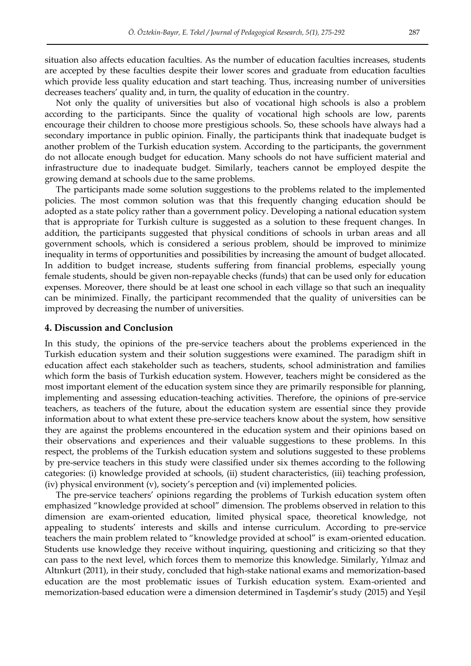situation also affects education faculties. As the number of education faculties increases, students are accepted by these faculties despite their lower scores and graduate from education faculties which provide less quality education and start teaching. Thus, increasing number of universities decreases teachers" quality and, in turn, the quality of education in the country.

Not only the quality of universities but also of vocational high schools is also a problem according to the participants. Since the quality of vocational high schools are low, parents encourage their children to choose more prestigious schools. So, these schools have always had a secondary importance in public opinion. Finally, the participants think that inadequate budget is another problem of the Turkish education system. According to the participants, the government do not allocate enough budget for education. Many schools do not have sufficient material and infrastructure due to inadequate budget. Similarly, teachers cannot be employed despite the growing demand at schools due to the same problems.

The participants made some solution suggestions to the problems related to the implemented policies. The most common solution was that this frequently changing education should be adopted as a state policy rather than a government policy. Developing a national education system that is appropriate for Turkish culture is suggested as a solution to these frequent changes. In addition, the participants suggested that physical conditions of schools in urban areas and all government schools, which is considered a serious problem, should be improved to minimize inequality in terms of opportunities and possibilities by increasing the amount of budget allocated. In addition to budget increase, students suffering from financial problems, especially young female students, should be given non-repayable checks (funds) that can be used only for education expenses. Moreover, there should be at least one school in each village so that such an inequality can be minimized. Finally, the participant recommended that the quality of universities can be improved by decreasing the number of universities.

#### **4. Discussion and Conclusion**

In this study, the opinions of the pre-service teachers about the problems experienced in the Turkish education system and their solution suggestions were examined. The paradigm shift in education affect each stakeholder such as teachers, students, school administration and families which form the basis of Turkish education system. However, teachers might be considered as the most important element of the education system since they are primarily responsible for planning, implementing and assessing education-teaching activities. Therefore, the opinions of pre-service teachers, as teachers of the future, about the education system are essential since they provide information about to what extent these pre-service teachers know about the system, how sensitive they are against the problems encountered in the education system and their opinions based on their observations and experiences and their valuable suggestions to these problems. In this respect, the problems of the Turkish education system and solutions suggested to these problems by pre-service teachers in this study were classified under six themes according to the following categories: (i) knowledge provided at schools, (ii) student characteristics, (iii) teaching profession, (iv) physical environment (v), society"s perception and (vi) implemented policies.

The pre-service teachers" opinions regarding the problems of Turkish education system often emphasized "knowledge provided at school" dimension. The problems observed in relation to this dimension are exam-oriented education, limited physical space, theoretical knowledge, not appealing to students" interests and skills and intense curriculum. According to pre-service teachers the main problem related to "knowledge provided at school" is exam-oriented education. Students use knowledge they receive without inquiring, questioning and criticizing so that they can pass to the next level, which forces them to memorize this knowledge. Similarly, Yılmaz and Altınkurt (2011), in their study, concluded that high-stake national exams and memorization-based education are the most problematic issues of Turkish education system. Exam-oriented and memorization-based education were a dimension determined in Taşdemir"s study (2015) and Yeşil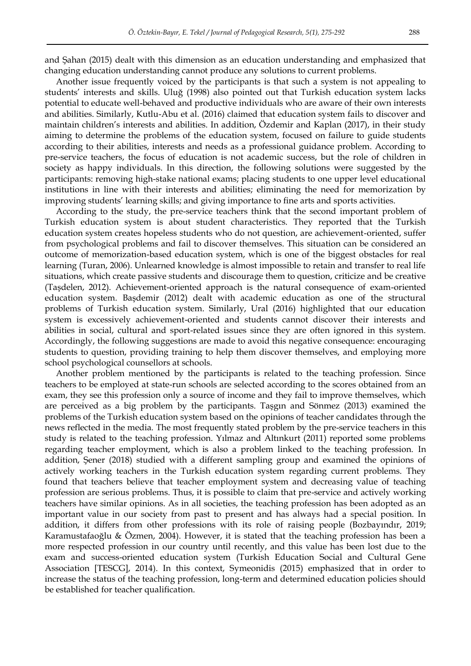and Şahan (2015) dealt with this dimension as an education understanding and emphasized that changing education understanding cannot produce any solutions to current problems.

Another issue frequently voiced by the participants is that such a system is not appealing to students" interests and skills. Uluğ (1998) also pointed out that Turkish education system lacks potential to educate well-behaved and productive individuals who are aware of their own interests and abilities. Similarly, Kutlu-Abu et al. (2016) claimed that education system fails to discover and maintain children"s interests and abilities. In addition, Özdemir and Kaplan (2017), in their study aiming to determine the problems of the education system, focused on failure to guide students according to their abilities, interests and needs as a professional guidance problem. According to pre-service teachers, the focus of education is not academic success, but the role of children in society as happy individuals. In this direction, the following solutions were suggested by the participants: removing high-stake national exams; placing students to one upper level educational institutions in line with their interests and abilities; eliminating the need for memorization by improving students" learning skills; and giving importance to fine arts and sports activities.

According to the study, the pre-service teachers think that the second important problem of Turkish education system is about student characteristics. They reported that the Turkish education system creates hopeless students who do not question, are achievement-oriented, suffer from psychological problems and fail to discover themselves. This situation can be considered an outcome of memorization-based education system, which is one of the biggest obstacles for real learning (Turan, 2006). Unlearned knowledge is almost impossible to retain and transfer to real life situations, which create passive students and discourage them to question, criticize and be creative (Taşdelen, 2012). Achievement-oriented approach is the natural consequence of exam-oriented education system. Başdemir (2012) dealt with academic education as one of the structural problems of Turkish education system. Similarly, Ural (2016) highlighted that our education system is excessively achievement-oriented and students cannot discover their interests and abilities in social, cultural and sport-related issues since they are often ignored in this system. Accordingly, the following suggestions are made to avoid this negative consequence: encouraging students to question, providing training to help them discover themselves, and employing more school psychological counsellors at schools.

Another problem mentioned by the participants is related to the teaching profession. Since teachers to be employed at state-run schools are selected according to the scores obtained from an exam, they see this profession only a source of income and they fail to improve themselves, which are perceived as a big problem by the participants. Taşgın and Sönmez (2013) examined the problems of the Turkish education system based on the opinions of teacher candidates through the news reflected in the media. The most frequently stated problem by the pre-service teachers in this study is related to the teaching profession. Yılmaz and Altınkurt (2011) reported some problems regarding teacher employment, which is also a problem linked to the teaching profession. In addition, Şener (2018) studied with a different sampling group and examined the opinions of actively working teachers in the Turkish education system regarding current problems. They found that teachers believe that teacher employment system and decreasing value of teaching profession are serious problems. Thus, it is possible to claim that pre-service and actively working teachers have similar opinions. As in all societies, the teaching profession has been adopted as an important value in our society from past to present and has always had a special position. In addition, it differs from other professions with its role of raising people (Bozbayındır, 2019; Karamustafaoğlu & Özmen, 2004). However, it is stated that the teaching profession has been a more respected profession in our country until recently, and this value has been lost due to the exam and success-oriented education system (Turkish Education Social and Cultural Gene Association [TESCG], 2014). In this context, Symeonidis (2015) emphasized that in order to increase the status of the teaching profession, long-term and determined education policies should be established for teacher qualification.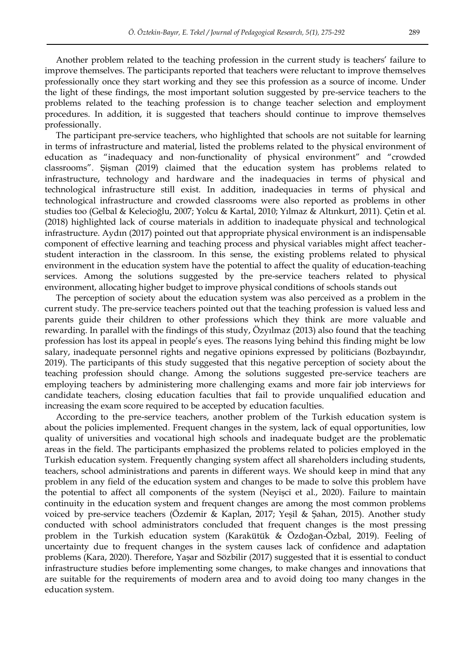Another problem related to the teaching profession in the current study is teachers' failure to improve themselves. The participants reported that teachers were reluctant to improve themselves professionally once they start working and they see this profession as a source of income. Under the light of these findings, the most important solution suggested by pre-service teachers to the problems related to the teaching profession is to change teacher selection and employment procedures. In addition, it is suggested that teachers should continue to improve themselves professionally.

The participant pre-service teachers, who highlighted that schools are not suitable for learning in terms of infrastructure and material, listed the problems related to the physical environment of education as "inadequacy and non-functionality of physical environment" and "crowded classrooms". Şişman (2019) claimed that the education system has problems related to infrastructure, technology and hardware and the inadequacies in terms of physical and technological infrastructure still exist. In addition, inadequacies in terms of physical and technological infrastructure and crowded classrooms were also reported as problems in other studies too (Gelbal & Kelecioğlu, 2007; Yolcu & Kartal, 2010; Yılmaz & Altınkurt, 2011). Çetin et al. (2018) highlighted lack of course materials in addition to inadequate physical and technological infrastructure. Aydın (2017) pointed out that appropriate physical environment is an indispensable component of effective learning and teaching process and physical variables might affect teacherstudent interaction in the classroom. In this sense, the existing problems related to physical environment in the education system have the potential to affect the quality of education-teaching services. Among the solutions suggested by the pre-service teachers related to physical environment, allocating higher budget to improve physical conditions of schools stands out

The perception of society about the education system was also perceived as a problem in the current study. The pre-service teachers pointed out that the teaching profession is valued less and parents guide their children to other professions which they think are more valuable and rewarding. In parallel with the findings of this study, Özyılmaz (2013) also found that the teaching profession has lost its appeal in people"s eyes. The reasons lying behind this finding might be low salary, inadequate personnel rights and negative opinions expressed by politicians (Bozbayındır, 2019). The participants of this study suggested that this negative perception of society about the teaching profession should change. Among the solutions suggested pre-service teachers are employing teachers by administering more challenging exams and more fair job interviews for candidate teachers, closing education faculties that fail to provide unqualified education and increasing the exam score required to be accepted by education faculties.

According to the pre-service teachers, another problem of the Turkish education system is about the policies implemented. Frequent changes in the system, lack of equal opportunities, low quality of universities and vocational high schools and inadequate budget are the problematic areas in the field. The participants emphasized the problems related to policies employed in the Turkish education system. Frequently changing system affect all shareholders including students, teachers, school administrations and parents in different ways. We should keep in mind that any problem in any field of the education system and changes to be made to solve this problem have the potential to affect all components of the system (Neyişci et al., 2020). Failure to maintain continuity in the education system and frequent changes are among the most common problems voiced by pre-service teachers (Özdemir & Kaplan, 2017; Yeşil & Şahan, 2015). Another study conducted with school administrators concluded that frequent changes is the most pressing problem in the Turkish education system (Karakütük & Özdoğan-Özbal, 2019). Feeling of uncertainty due to frequent changes in the system causes lack of confidence and adaptation problems (Kara, 2020). Therefore, Yaşar and Sözbilir (2017) suggested that it is essential to conduct infrastructure studies before implementing some changes, to make changes and innovations that are suitable for the requirements of modern area and to avoid doing too many changes in the education system.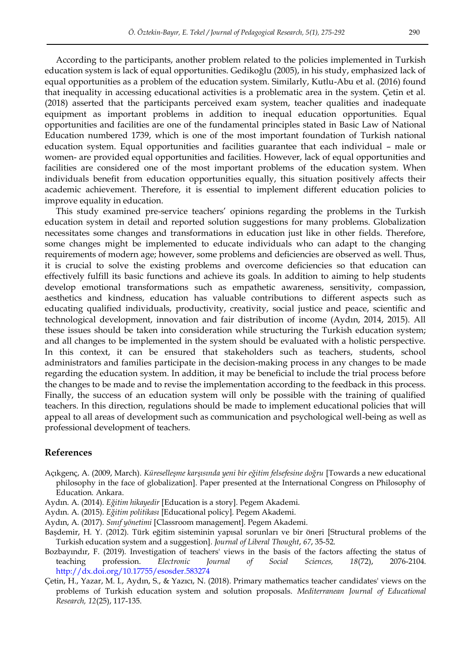According to the participants, another problem related to the policies implemented in Turkish education system is lack of equal opportunities. Gedikoğlu (2005), in his study, emphasized lack of equal opportunities as a problem of the education system. Similarly, Kutlu-Abu et al. (2016) found that inequality in accessing educational activities is a problematic area in the system. Çetin et al. (2018) asserted that the participants perceived exam system, teacher qualities and inadequate equipment as important problems in addition to inequal education opportunities. Equal opportunities and facilities are one of the fundamental principles stated in Basic Law of National Education numbered 1739, which is one of the most important foundation of Turkish national education system. Equal opportunities and facilities guarantee that each individual – male or women- are provided equal opportunities and facilities. However, lack of equal opportunities and facilities are considered one of the most important problems of the education system. When individuals benefit from education opportunities equally, this situation positively affects their academic achievement. Therefore, it is essential to implement different education policies to improve equality in education.

This study examined pre-service teachers' opinions regarding the problems in the Turkish education system in detail and reported solution suggestions for many problems. Globalization necessitates some changes and transformations in education just like in other fields. Therefore, some changes might be implemented to educate individuals who can adapt to the changing requirements of modern age; however, some problems and deficiencies are observed as well. Thus, it is crucial to solve the existing problems and overcome deficiencies so that education can effectively fulfill its basic functions and achieve its goals. In addition to aiming to help students develop emotional transformations such as empathetic awareness, sensitivity, compassion, aesthetics and kindness, education has valuable contributions to different aspects such as educating qualified individuals, productivity, creativity, social justice and peace, scientific and technological development, innovation and fair distribution of income (Aydın, 2014, 2015). All these issues should be taken into consideration while structuring the Turkish education system; and all changes to be implemented in the system should be evaluated with a holistic perspective. In this context, it can be ensured that stakeholders such as teachers, students, school administrators and families participate in the decision-making process in any changes to be made regarding the education system. In addition, it may be beneficial to include the trial process before the changes to be made and to revise the implementation according to the feedback in this process. Finally, the success of an education system will only be possible with the training of qualified teachers. In this direction, regulations should be made to implement educational policies that will appeal to all areas of development such as communication and psychological well-being as well as professional development of teachers.

#### **References**

- Açıkgenç, A. (2009, March). *Küreselleşme karşısında yeni bir eğitim felsefesine doğru* [Towards a new educational philosophy in the face of globalization]. Paper presented at the International Congress on Philosophy of Education*.* Ankara.
- Aydın. A. (2014). *Eğitim hikayedir* [Education is a story]. Pegem Akademi.
- Aydın. A. (2015). *Eğitim politikası* [Educational policy]. Pegem Akademi.
- Aydın, A. (2017). *Sınıf yönetimi* [Classroom management]. Pegem Akademi.
- Başdemir, H. Y. (2012). Türk eğitim sisteminin yapısal sorunları ve bir öneri [Structural problems of the Turkish education system and a suggestion]. *Journal of Liberal Thought*, *67*, 35-52.
- Bozbayındır, F. (2019). Investigation of teachers' views in the basis of the factors affecting the status of teaching profession. *Electronic Journal of Social Sciences, 18*(72), 2076-2104. <http://dx.doi.org/10.17755/esosder.583274>
- Çetin, H., Yazar, M. I., Aydın, S., & Yazıcı, N. (2018). Primary mathematics teacher candidates' views on the problems of Turkish education system and solution proposals. *Mediterranean Journal of Educational Research, 12*(25), 117-135.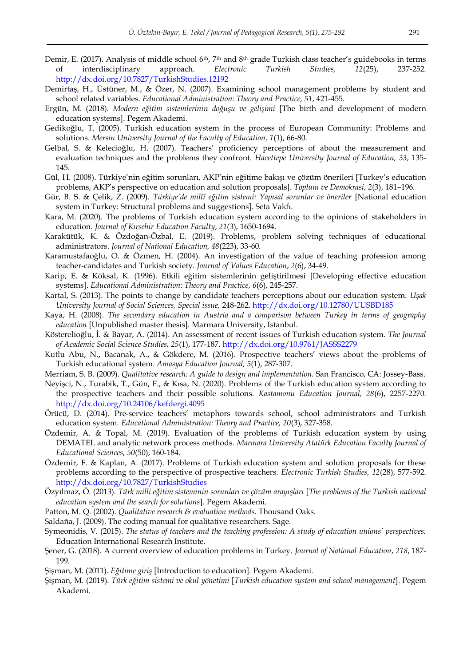- Demir, E. (2017). Analysis of middle school 6<sup>th</sup>, 7<sup>th</sup> and 8<sup>th</sup> grade Turkish class teacher's guidebooks in terms of interdisciplinary approach. *Electronic Turkish Studies, 12*(25), 237-252. <http://dx.doi.org/10.7827/TurkishStudies.12192>
- Demirtaş, H., Üstüner, M., & Özer, N. (2007). Examining school management problems by student and school related variables. *Educational Administration: Theory and Practice, 51*, 421-455.
- Ergün, M. (2018). *Modern eğitim sistemlerinin doğuşu ve gelişimi* [The birth and development of modern education systems]. Pegem Akademi.
- Gedikoğlu, T. (2005). Turkish education system in the process of European Community: Problems and solutions. *Mersin University Journal of the Faculty of Education, 1*(1), 66-80.
- Gelbal, S. & Kelecioğlu, H. (2007). Teachers" proficiency perceptions of about the measurement and evaluation techniques and the problems they confront. *Hacettepe University Journal of Education, 33*, 135- 145.
- Gül, H. (2008). Türkiye"nin eğitim sorunları, AKP"nin eğitime bakışı ve çözüm önerileri [Turkey"s education problems, AKP"s perspective on education and solution proposals]. *Toplum ve Demokrasi*, *2*(3), 181–196.
- Gür, B. S. & Çelik, Z. (2009). *Türkiye'de millî eğitim sistemi: Yapısal sorunlar ve öneriler* [National education system in Turkey: Structural problems and suggestions]. Seta Vakfı.
- Kara, M. (2020). The problems of Turkish education system according to the opinions of stakeholders in education. *Journal of Kırsehir Education Faculty*, *21*(3), 1650-1694.
- Karakütük, K. & Özdoğan-Özbal, E. (2019). Problems, problem solving techniques of educational administrators. *Journal of National Education, 48*(223), 33-60.
- Karamustafaoğlu, O. & Özmen, H. (2004). An investigation of the value of teaching profession among teacher-candidates and Turkish society. *Journal of Values Education*, *2*(6), 34-49.
- Karip, E. & Köksal, K. (1996). Etkili eğitim sistemlerinin geliştirilmesi [Developing effective education systems]. *Educational Administration: Theory and Practice*, *6*(6), 245-257.
- Kartal, S. (2013). The points to change by candidate teachers perceptions about our education system. *Uşak University Journal of Social Sciences, Special issue,* 248-262.<http://dx.doi.org/10.12780/UUSBD185>
- Kaya, H. (2008). *The secondary education in Austria and a comparison between Turkey in terms of geography education* [Unpublished master thesis]. Marmara University, Istanbul.
- Kösterelioğlu, İ. & Bayar, A. (2014). An assessment of recent issues of Turkish education system. *The Journal of Academic Social Science Studies, 25*(1), 177-187.<http://dx.doi.org/10.9761/JASSS2279>
- Kutlu Abu, N., Bacanak, A., & Gökdere, M. (2016). Prospective teachers" views about the problems of Turkish educational system. *Amasya Education Journal, 5*(1), 287-307.
- Merriam, S. B. (2009). *Qualitative research: A guide to design and implementation.* San Francisco, CA: Jossey-Bass.
- Neyişci, N., Turabik, T., Gün, F., & Kısa, N. (2020). Problems of the Turkish education system according to the prospective teachers and their possible solutions. *Kastamonu Education Journal, 28*(6), 2257-2270. <http://dx.doi.org/10.24106/kefdergi.4095>
- Örücü, D. (2014). Pre-service teachers" metaphors towards school, school administrators and Turkish education system. *Educational Administration: Theory and Practice, 20*(3), 327-358.
- Özdemir, A. & Topal, M. (2019). Evaluation of the problems of Turkish education system by using DEMATEL and analytic network process methods. *Marmara University Atatürk Education Faculty Journal of Educational Sciences*, *50*(50), 160-184.
- Özdemir, F. & Kaplan, A. (2017). Problems of Turkish education system and solution proposals for these problems according to the perspective of prospective teachers. *Electronic Turkish Studies, 12*(28), 577-592. <http://dx.doi.org/10.7827/TurkishStudies>
- Özyılmaz, Ö. (2013). *Türk milli eğitim sisteminin sorunları ve çözüm arayışları* [*The problems of the Turkish national education system and the search for solutions*]. Pegem Akademi.
- Patton, M. Q. (2002). *Qualitative research & evaluation methods.* Thousand Oaks.
- Saldaña, J. (2009). The coding manual for qualitative researchers. Sage.
- Symeonidis, V. (2015). *The status of teachers and the teaching profession: A study of education unions' perspectives.* Education International Research Institute.
- Şener, G. (2018). A current overview of education problems in Turkey. *Journal of National Education*, *218*, 187- 199.
- Şişman, M. (2011). *Eğitime giriş* [Introduction to education]*.* Pegem Akademi.
- Şişman, M. (2019). *Türk eğitim sistemi ve okul yönetimi* [*Turkish education system and school management*]. Pegem Akademi.